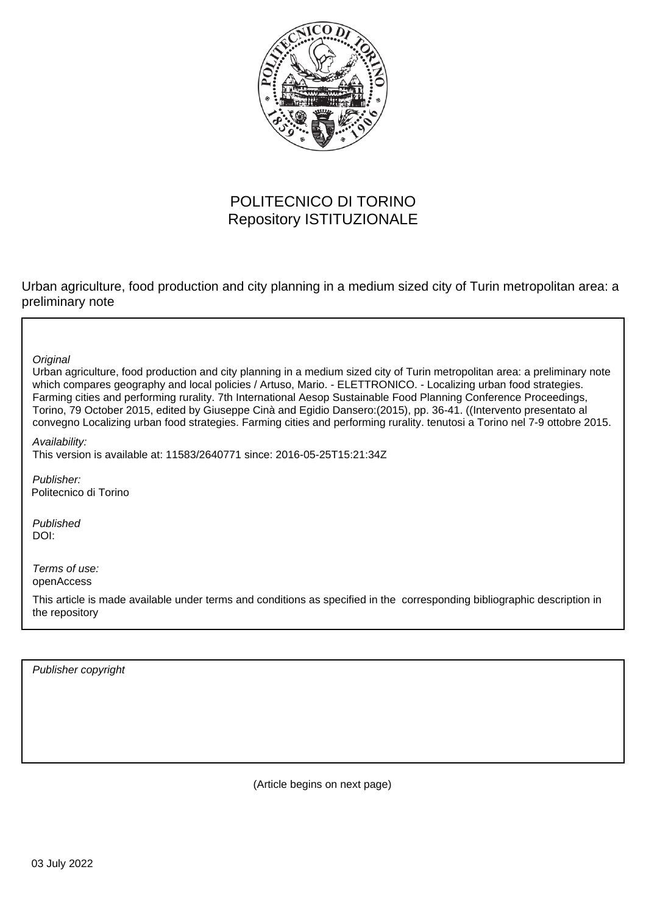

# POLITECNICO DI TORINO Repository ISTITUZIONALE

Urban agriculture, food production and city planning in a medium sized city of Turin metropolitan area: a preliminary note

**Original** 

Urban agriculture, food production and city planning in a medium sized city of Turin metropolitan area: a preliminary note which compares geography and local policies / Artuso, Mario. - ELETTRONICO. - Localizing urban food strategies. Farming cities and performing rurality. 7th International Aesop Sustainable Food Planning Conference Proceedings, Torino, 79 October 2015, edited by Giuseppe Cinà and Egidio Dansero:(2015), pp. 36-41. ((Intervento presentato al convegno Localizing urban food strategies. Farming cities and performing rurality. tenutosi a Torino nel 7-9 ottobre 2015.

Availability: This version is available at: 11583/2640771 since: 2016-05-25T15:21:34Z

Publisher: Politecnico di Torino

Published DOI:

Terms of use: openAccess

This article is made available under terms and conditions as specified in the corresponding bibliographic description in the repository

Publisher copyright

(Article begins on next page)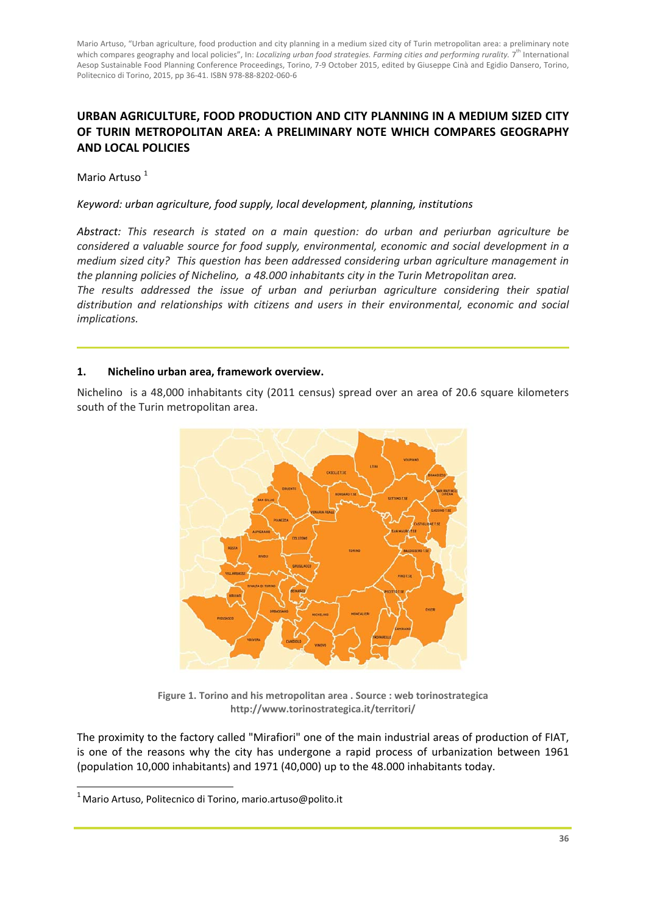Mario Artuso, "Urban agriculture, food production and city planning in a medium sized city of Turin metropolitan area: a preliminary note which compares geography and local policies", In: *Localizing urban food strategies. Farming cities and performing rurality.* 7 th International Aesop Sustainable Food Planning Conference Proceedings, Torino, 7‐9 October 2015, edited by Giuseppe Cinà and Egidio Dansero, Torino, Politecnico di Torino, 2015, pp 36‐41. ISBN 978‐88‐8202‐060‐6

# **URBAN AGRICULTURE, FOOD PRODUCTION AND CITY PLANNING IN A MEDIUM SIZED CITY OF TURIN METROPOLITAN AREA: A PRELIMINARY NOTE WHICH COMPARES GEOGRAPHY AND LOCAL POLICIES**

Mario Artuso<sup>1</sup>

#### *Keyword: urban agriculture, food supply, local development, planning, institutions*

*Abstract: This research is stated on a main question: do urban and periurban agriculture be considered a valuable source for food supply, environmental, economic and social development in a medium sized city? This question has been addressed considering urban agriculture management in the planning policies of Nichelino, a 48.000 inhabitants city in the Turin Metropolitan area.* 

*The results addressed the issue of urban and periurban agriculture considering their spatial distribution and relationships with citizens and users in their environmental, economic and social implications.* 

#### **1. Nichelino urban area, framework overview.**

Nichelino is a 48,000 inhabitants city (2011 census) spread over an area of 20.6 square kilometers south of the Turin metropolitan area.



**Figure 1. Torino and his metropolitan area . Source : web torinostrategica http://www.torinostrategica.it/territori/**

The proximity to the factory called "Mirafiori" one of the main industrial areas of production of FIAT, is one of the reasons why the city has undergone a rapid process of urbanization between 1961 (population 10,000 inhabitants) and 1971 (40,000) up to the 48.000 inhabitants today.

<u> 1989 - Johann Stein, mars an de Brasilian (b. 1989)</u>

<sup>&</sup>lt;sup>1</sup> Mario Artuso, Politecnico di Torino, mario.artuso@polito.it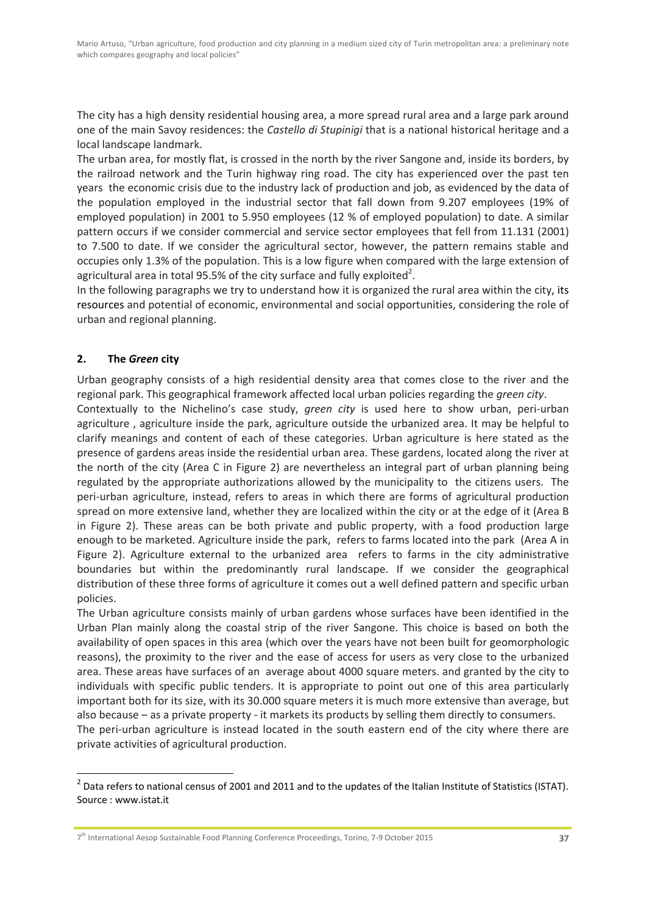The city has a high density residential housing area, a more spread rural area and a large park around one of the main Savoy residences: the *Castello di Stupinigi* that is a national historical heritage and a local landscape landmark.

The urban area, for mostly flat, is crossed in the north by the river Sangone and, inside its borders, by the railroad network and the Turin highway ring road. The city has experienced over the past ten years the economic crisis due to the industry lack of production and job, as evidenced by the data of the population employed in the industrial sector that fall down from 9.207 employees (19% of employed population) in 2001 to 5.950 employees (12 % of employed population) to date. A similar pattern occurs if we consider commercial and service sector employees that fell from 11.131 (2001) to 7.500 to date. If we consider the agricultural sector, however, the pattern remains stable and occupies only 1.3% of the population. This is a low figure when compared with the large extension of agricultural area in total 95.5% of the city surface and fully exploited<sup>2</sup>.

In the following paragraphs we try to understand how it is organized the rural area within the city, its resources and potential of economic, environmental and social opportunities, considering the role of urban and regional planning.

## **2. The** *Green* **city**

<u> 1989 - Johann Barn, mars ann an t-Amhain Aonaichte ann an t-Aonaichte ann an t-Aonaichte ann an t-Aonaichte a</u>

Urban geography consists of a high residential density area that comes close to the river and the regional park. This geographical framework affected local urban policies regarding the *green city*.

Contextually to the Nichelino's case study, *green city* is used here to show urban, peri‐urban agriculture , agriculture inside the park, agriculture outside the urbanized area. It may be helpful to clarify meanings and content of each of these categories. Urban agriculture is here stated as the presence of gardens areas inside the residential urban area. These gardens, located along the river at the north of the city (Area C in Figure 2) are nevertheless an integral part of urban planning being regulated by the appropriate authorizations allowed by the municipality to the citizens users. The peri-urban agriculture, instead, refers to areas in which there are forms of agricultural production spread on more extensive land, whether they are localized within the city or at the edge of it (Area B in Figure 2). These areas can be both private and public property, with a food production large enough to be marketed. Agriculture inside the park, refers to farms located into the park (Area A in Figure 2). Agriculture external to the urbanized area refers to farms in the city administrative boundaries but within the predominantly rural landscape. If we consider the geographical distribution of these three forms of agriculture it comes out a well defined pattern and specific urban policies.

The Urban agriculture consists mainly of urban gardens whose surfaces have been identified in the Urban Plan mainly along the coastal strip of the river Sangone. This choice is based on both the availability of open spaces in this area (which over the years have not been built for geomorphologic reasons), the proximity to the river and the ease of access for users as very close to the urbanized area. These areas have surfaces of an average about 4000 square meters. and granted by the city to individuals with specific public tenders. It is appropriate to point out one of this area particularly important both for its size, with its 30.000 square meters it is much more extensive than average, but also because – as a private property ‐ it markets its products by selling them directly to consumers.

The peri-urban agriculture is instead located in the south eastern end of the city where there are private activities of agricultural production.

 $2$  Data refers to national census of 2001 and 2011 and to the updates of the Italian Institute of Statistics (ISTAT). Source : www.istat.it

<sup>7</sup>th International Aesop Sustainable Food Planning Conference Proceedings, Torino, 7‐9 October 2015 **37**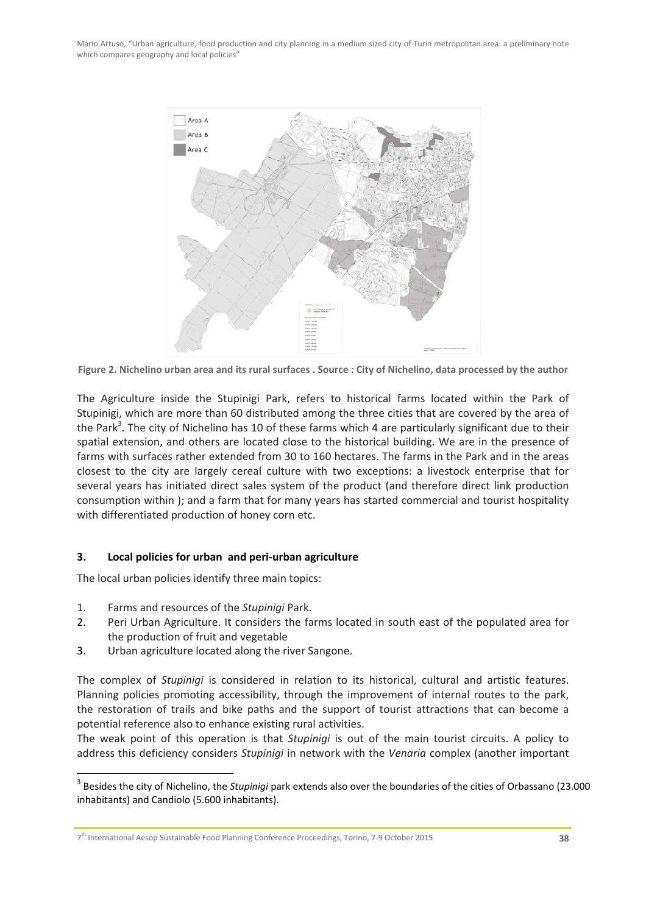Mario Artuso, "Urban agriculture, food production and city planning in a medium sized city of Turin metropolitan area: a preliminary note which compares geography and local policies"



Figure 2. Nichelino urban area and its rural surfaces . Source : City of Nichelino, data processed by the author

The Agriculture inside the Stupinigi Park, refers to historical farms located within the Park of Stupinigi, which are more than 60 distributed among the three cities that are covered by the area of the Park<sup>3</sup>. The city of Nichelino has 10 of these farms which 4 are particularly significant due to their spatial extension, and others are located close to the historical building. We are in the presence of farms with surfaces rather extended from 30 to 160 hectares. The farms in the Park and in the areas closest to the city are largely cereal culture with two exceptions: a livestock enterprise that for several years has initiated direct sales system of the product (and therefore direct link production consumption within ); and a farm that for many years has started commercial and tourist hospitality with differentiated production of honey corn etc.

### **3. Local policies for urban and peri‐urban agriculture**

The local urban policies identify three main topics:

1. Farms and resources of the *Stupinigi* Park.

<u> 1989 - Johann Barn, mars ann an t-Amhain Aonaichte ann an t-Aonaichte ann an t-Aonaichte ann an t-Aonaichte a</u>

- 2. Peri Urban Agriculture. It considers the farms located in south east of the populated area for the production of fruit and vegetable
- 3. Urban agriculture located along the river Sangone.

The complex of *Stupinigi* is considered in relation to its historical, cultural and artistic features. Planning policies promoting accessibility, through the improvement of internal routes to the park, the restoration of trails and bike paths and the support of tourist attractions that can become a potential reference also to enhance existing rural activities.

The weak point of this operation is that *Stupinigi* is out of the main tourist circuits. A policy to address this deficiency considers *Stupinigi* in network with the *Venaria* complex (another important

<sup>3</sup> Besides the city of Nichelino, the *Stupinigi* park extends also over the boundaries of the cities of Orbassano (23.000 inhabitants) and Candiolo (5.600 inhabitants).

<sup>7</sup>th International Aesop Sustainable Food Planning Conference Proceedings, Torino, 7‐9 October 2015 **38**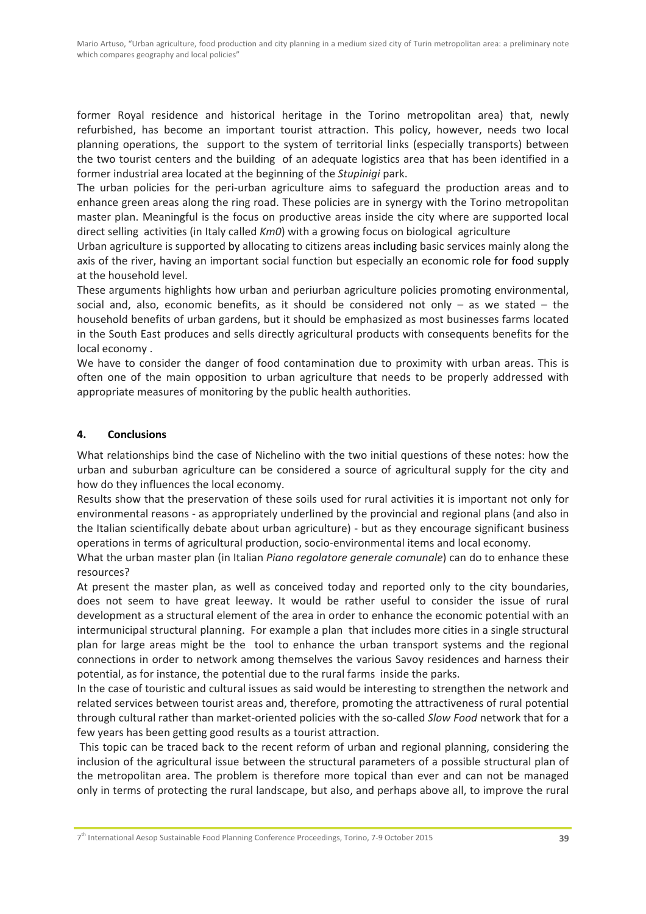former Royal residence and historical heritage in the Torino metropolitan area) that, newly refurbished, has become an important tourist attraction. This policy, however, needs two local planning operations, the support to the system of territorial links (especially transports) between the two tourist centers and the building of an adequate logistics area that has been identified in a former industrial area located at the beginning of the *Stupinigi* park.

The urban policies for the peri-urban agriculture aims to safeguard the production areas and to enhance green areas along the ring road. These policies are in synergy with the Torino metropolitan master plan. Meaningful is the focus on productive areas inside the city where are supported local direct selling activities (in Italy called *Km0*) with a growing focus on biological agriculture

Urban agriculture is supported by allocating to citizens areas including basic services mainly along the axis of the river, having an important social function but especially an economic role for food supply at the household level.

These arguments highlights how urban and periurban agriculture policies promoting environmental, social and, also, economic benefits, as it should be considered not only  $-$  as we stated  $-$  the household benefits of urban gardens, but it should be emphasized as most businesses farms located in the South East produces and sells directly agricultural products with consequents benefits for the local economy .

We have to consider the danger of food contamination due to proximity with urban areas. This is often one of the main opposition to urban agriculture that needs to be properly addressed with appropriate measures of monitoring by the public health authorities.

## **4. Conclusions**

What relationships bind the case of Nichelino with the two initial questions of these notes: how the urban and suburban agriculture can be considered a source of agricultural supply for the city and how do they influences the local economy.

Results show that the preservation of these soils used for rural activities it is important not only for environmental reasons ‐ as appropriately underlined by the provincial and regional plans (and also in the Italian scientifically debate about urban agriculture) ‐ but as they encourage significant business operations in terms of agricultural production, socio‐environmental items and local economy.

What the urban master plan (in Italian *Piano regolatore generale comunale*) can do to enhance these resources?

At present the master plan, as well as conceived today and reported only to the city boundaries, does not seem to have great leeway. It would be rather useful to consider the issue of rural development as a structural element of the area in order to enhance the economic potential with an intermunicipal structural planning. For example a plan that includes more cities in a single structural plan for large areas might be the tool to enhance the urban transport systems and the regional connections in order to network among themselves the various Savoy residences and harness their potential, as for instance, the potential due to the rural farms inside the parks.

In the case of touristic and cultural issues as said would be interesting to strengthen the network and related services between tourist areas and, therefore, promoting the attractiveness of rural potential through cultural rather than market‐oriented policies with the so‐called *Slow Food* network that for a few years has been getting good results as a tourist attraction.

This topic can be traced back to the recent reform of urban and regional planning, considering the inclusion of the agricultural issue between the structural parameters of a possible structural plan of the metropolitan area. The problem is therefore more topical than ever and can not be managed only in terms of protecting the rural landscape, but also, and perhaps above all, to improve the rural

7th International Aesop Sustainable Food Planning Conference Proceedings, Torino, 7‐9 October 2015 **39**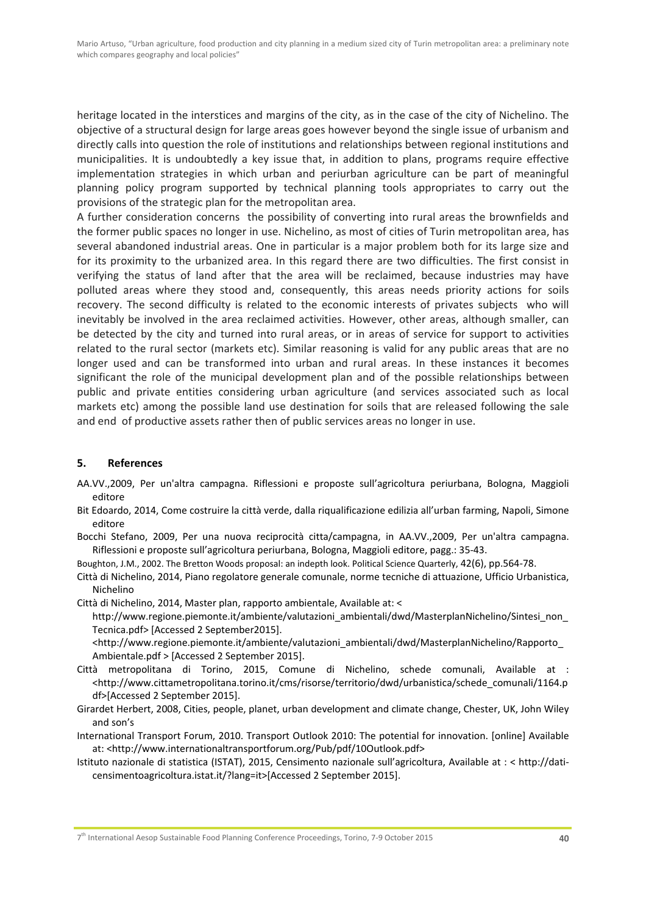heritage located in the interstices and margins of the city, as in the case of the city of Nichelino. The objective of a structural design for large areas goes however beyond the single issue of urbanism and directly calls into question the role of institutions and relationships between regional institutions and municipalities. It is undoubtedly a key issue that, in addition to plans, programs require effective implementation strategies in which urban and periurban agriculture can be part of meaningful planning policy program supported by technical planning tools appropriates to carry out the provisions of the strategic plan for the metropolitan area.

A further consideration concerns the possibility of converting into rural areas the brownfields and the former public spaces no longer in use. Nichelino, as most of cities of Turin metropolitan area, has several abandoned industrial areas. One in particular is a major problem both for its large size and for its proximity to the urbanized area. In this regard there are two difficulties. The first consist in verifying the status of land after that the area will be reclaimed, because industries may have polluted areas where they stood and, consequently, this areas needs priority actions for soils recovery. The second difficulty is related to the economic interests of privates subjects who will inevitably be involved in the area reclaimed activities. However, other areas, although smaller, can be detected by the city and turned into rural areas, or in areas of service for support to activities related to the rural sector (markets etc). Similar reasoning is valid for any public areas that are no longer used and can be transformed into urban and rural areas. In these instances it becomes significant the role of the municipal development plan and of the possible relationships between public and private entities considering urban agriculture (and services associated such as local markets etc) among the possible land use destination for soils that are released following the sale and end of productive assets rather then of public services areas no longer in use.

#### **5. References**

- AA.VV.,2009, Per un'altra campagna. Riflessioni e proposte sull'agricoltura periurbana, Bologna, Maggioli editore
- Bit Edoardo, 2014, Come costruire la città verde, dalla riqualificazione edilizia all'urban farming, Napoli, Simone editore

Bocchi Stefano, 2009, Per una nuova reciprocità citta/campagna, in AA.VV.,2009, Per un'altra campagna. Riflessioni e proposte sull'agricoltura periurbana, Bologna, Maggioli editore, pagg.: 35‐43.

Boughton, J.M., 2002. The Bretton Woods proposal: an indepth look. Political Science Quarterly, 42(6), pp.564‐78.

Città di Nichelino, 2014, Piano regolatore generale comunale, norme tecniche di attuazione, Ufficio Urbanistica, Nichelino

Città di Nichelino, 2014, Master plan, rapporto ambientale, Available at: <

http://www.regione.piemonte.it/ambiente/valutazioni\_ambientali/dwd/MasterplanNichelino/Sintesi\_non\_ Tecnica.pdf> [Accessed 2 September2015].

<http://www.regione.piemonte.it/ambiente/valutazioni\_ambientali/dwd/MasterplanNichelino/Rapporto\_ Ambientale.pdf > [Accessed 2 September 2015].

- Città metropolitana di Torino, 2015, Comune di Nichelino, schede comunali, Available at : <http://www.cittametropolitana.torino.it/cms/risorse/territorio/dwd/urbanistica/schede\_comunali/1164.p df>[Accessed 2 September 2015].
- Girardet Herbert, 2008, Cities, people, planet, urban development and climate change, Chester, UK, John Wiley and son's

International Transport Forum, 2010. Transport Outlook 2010: The potential for innovation. [online] Available at: <http://www.internationaltransportforum.org/Pub/pdf/10Outlook.pdf>

Istituto nazionale di statistica (ISTAT), 2015, Censimento nazionale sull'agricoltura, Available at : < http://dati‐ censimentoagricoltura.istat.it/?lang=it>[Accessed 2 September 2015].

7th International Aesop Sustainable Food Planning Conference Proceedings, Torino, 7‐9 October 2015 **40**